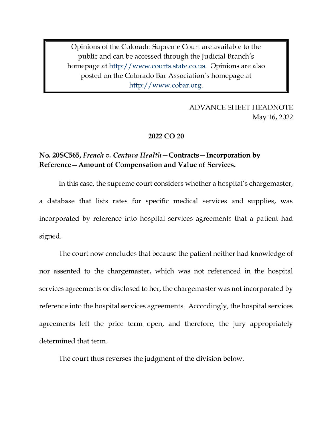Opinions of the Colorado Supreme Court are available to the public and can be accessed through the Judicial Branch's homepage at http://www.courts.state.co.us. Opinions are also posted on the Colorado Bar Association's homepage at http://www.cobar.org.

> **ADVANCE SHEET HEADNOTE** May 16, 2022

### 2022 CO 20

### No. 20SC565, French v. Centura Health – Contracts – Incorporation by Reference-Amount of Compensation and Value of Services.

In this case, the supreme court considers whether a hospital's chargemaster, a database that lists rates for specific medical services and supplies, was incorporated by reference into hospital services agreements that a patient had signed.

The court now concludes that because the patient neither had knowledge of nor assented to the chargemaster, which was not referenced in the hospital services agreements or disclosed to her, the chargemaster was not incorporated by reference into the hospital services agreements. Accordingly, the hospital services agreements left the price term open, and therefore, the jury appropriately determined that term.

The court thus reverses the judgment of the division below.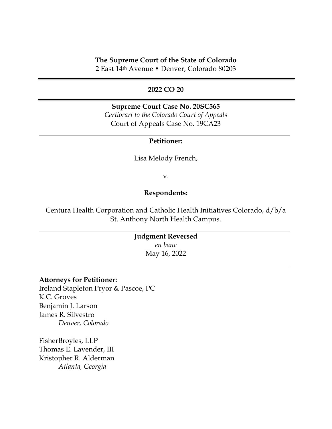### **The Supreme Court of the State of Colorado**

2 East 14th Avenue • Denver, Colorado 80203

### **2022 CO 20**

### **Supreme Court Case No. 20SC565** *Certiorari to the Colorado Court of Appeals* Court of Appeals Case No. 19CA23

#### **Petitioner:**

Lisa Melody French,

v.

#### **Respondents:**

Centura Health Corporation and Catholic Health Initiatives Colorado, d/b/a St. Anthony North Health Campus.

> **Judgment Reversed** *en banc* May 16, 2022

#### **Attorneys for Petitioner:**

Ireland Stapleton Pryor & Pascoe, PC K.C. Groves Benjamin J. Larson James R. Silvestro *Denver, Colorado*

FisherBroyles, LLP Thomas E. Lavender, III Kristopher R. Alderman *Atlanta, Georgia*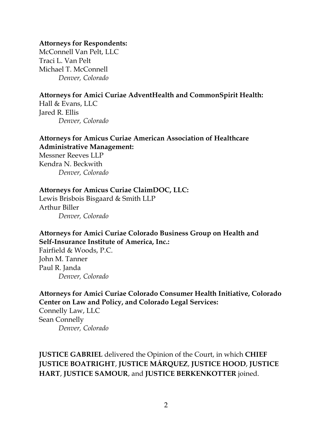### **Attorneys for Respondents:**

McConnell Van Pelt, LLC Traci L. Van Pelt Michael T. McConnell *Denver, Colorado*

# **Attorneys for Amici Curiae AdventHealth and CommonSpirit Health:**

Hall & Evans, LLC Jared R. Ellis *Denver, Colorado*

# **Attorneys for Amicus Curiae American Association of Healthcare Administrative Management:**

Messner Reeves LLP Kendra N. Beckwith *Denver, Colorado*

### **Attorneys for Amicus Curiae ClaimDOC, LLC:**

Lewis Brisbois Bisgaard & Smith LLP Arthur Biller *Denver, Colorado*

# **Attorneys for Amici Curiae Colorado Business Group on Health and Self-Insurance Institute of America, Inc.:**

Fairfield & Woods, P.C. John M. Tanner Paul R. Janda *Denver, Colorado*

# **Attorneys for Amici Curiae Colorado Consumer Health Initiative, Colorado Center on Law and Policy, and Colorado Legal Services:**

Connelly Law, LLC Sean Connelly *Denver, Colorado*

# **JUSTICE GABRIEL** delivered the Opinion of the Court, in which **CHIEF JUSTICE BOATRIGHT**, **JUSTICE MÁRQUEZ**, **JUSTICE HOOD**, **JUSTICE HART**, **JUSTICE SAMOUR**, and **JUSTICE BERKENKOTTER** joined.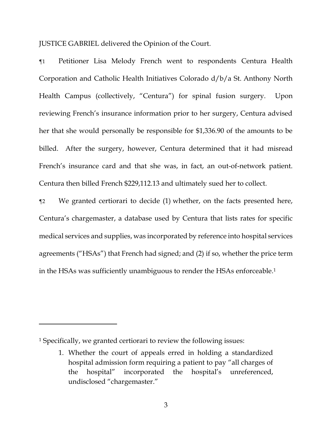JUSTICE GABRIEL delivered the Opinion of the Court.

¶1 Petitioner Lisa Melody French went to respondents Centura Health Corporation and Catholic Health Initiatives Colorado d/b/a St. Anthony North Health Campus (collectively, "Centura") for spinal fusion surgery. Upon reviewing French's insurance information prior to her surgery, Centura advised her that she would personally be responsible for \$1,336.90 of the amounts to be billed. After the surgery, however, Centura determined that it had misread French's insurance card and that she was, in fact, an out-of-network patient. Centura then billed French \$229,112.13 and ultimately sued her to collect.

¶2 We granted certiorari to decide (1) whether, on the facts presented here, Centura's chargemaster, a database used by Centura that lists rates for specific medical services and supplies, was incorporated by reference into hospital services agreements ("HSAs") that French had signed; and (2) if so, whether the price term in the HSAs was sufficiently unambiguous to render the HSAs enforceable. 1

<sup>1</sup> Specifically, we granted certiorari to review the following issues:

<sup>1.</sup> Whether the court of appeals erred in holding a standardized hospital admission form requiring a patient to pay "all charges of the hospital" incorporated the hospital's unreferenced, undisclosed "chargemaster."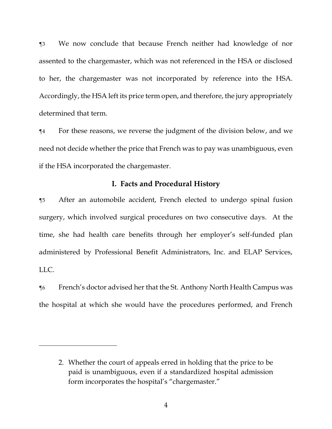¶3 We now conclude that because French neither had knowledge of nor assented to the chargemaster, which was not referenced in the HSA or disclosed to her, the chargemaster was not incorporated by reference into the HSA. Accordingly, the HSA left its price term open, and therefore, the jury appropriately determined that term.

¶4 For these reasons, we reverse the judgment of the division below, and we need not decide whether the price that French was to pay was unambiguous, even if the HSA incorporated the chargemaster.

### **I. Facts and Procedural History**

¶5 After an automobile accident, French elected to undergo spinal fusion surgery, which involved surgical procedures on two consecutive days. At the time, she had health care benefits through her employer's self-funded plan administered by Professional Benefit Administrators, Inc. and ELAP Services, LLC.

¶6 French's doctor advised her that the St. Anthony North Health Campus was the hospital at which she would have the procedures performed, and French

<sup>2.</sup> Whether the court of appeals erred in holding that the price to be paid is unambiguous, even if a standardized hospital admission form incorporates the hospital's "chargemaster."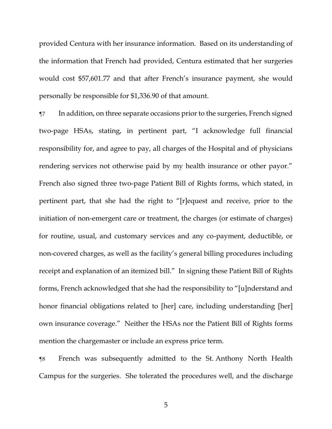provided Centura with her insurance information. Based on its understanding of the information that French had provided, Centura estimated that her surgeries would cost \$57,601.77 and that after French's insurance payment, she would personally be responsible for \$1,336.90 of that amount.

¶7 In addition, on three separate occasions prior to the surgeries, French signed two-page HSAs, stating, in pertinent part, "I acknowledge full financial responsibility for, and agree to pay, all charges of the Hospital and of physicians rendering services not otherwise paid by my health insurance or other payor." French also signed three two-page Patient Bill of Rights forms, which stated, in pertinent part, that she had the right to "[r]equest and receive, prior to the initiation of non-emergent care or treatment, the charges (or estimate of charges) for routine, usual, and customary services and any co-payment, deductible, or non-covered charges, as well as the facility's general billing procedures including receipt and explanation of an itemized bill." In signing these Patient Bill of Rights forms, French acknowledged that she had the responsibility to "[u]nderstand and honor financial obligations related to [her] care, including understanding [her] own insurance coverage." Neither the HSAs nor the Patient Bill of Rights forms mention the chargemaster or include an express price term.

¶8 French was subsequently admitted to the St. Anthony North Health Campus for the surgeries. She tolerated the procedures well, and the discharge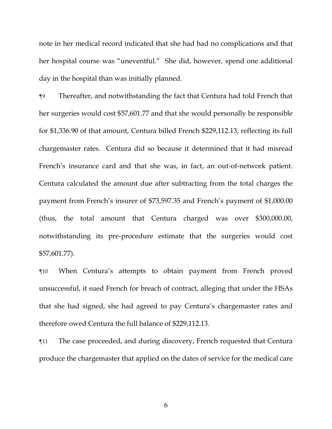note in her medical record indicated that she had had no complications and that her hospital course was "uneventful." She did, however, spend one additional day in the hospital than was initially planned.

¶9 Thereafter, and notwithstanding the fact that Centura had told French that her surgeries would cost \$57,601.77 and that she would personally be responsible for \$1,336.90 of that amount, Centura billed French \$229,112.13, reflecting its full chargemaster rates. Centura did so because it determined that it had misread French's insurance card and that she was, in fact, an out-of-network patient. Centura calculated the amount due after subtracting from the total charges the payment from French's insurer of \$73,597.35 and French's payment of \$1,000.00 (thus, the total amount that Centura charged was over \$300,000.00, notwithstanding its pre-procedure estimate that the surgeries would cost \$57,601.77).

¶10 When Centura's attempts to obtain payment from French proved unsuccessful, it sued French for breach of contract, alleging that under the HSAs that she had signed, she had agreed to pay Centura's chargemaster rates and therefore owed Centura the full balance of \$229,112.13.

¶11 The case proceeded, and during discovery, French requested that Centura produce the chargemaster that applied on the dates of service for the medical care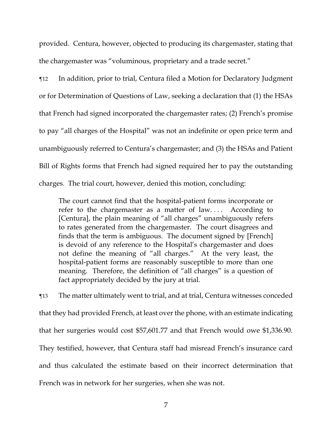provided. Centura, however, objected to producing its chargemaster, stating that the chargemaster was "voluminous, proprietary and a trade secret."

¶12 In addition, prior to trial, Centura filed a Motion for Declaratory Judgment or for Determination of Questions of Law, seeking a declaration that (1) the HSAs that French had signed incorporated the chargemaster rates; (2) French's promise to pay "all charges of the Hospital" was not an indefinite or open price term and unambiguously referred to Centura's chargemaster; and (3) the HSAs and Patient Bill of Rights forms that French had signed required her to pay the outstanding charges. The trial court, however, denied this motion, concluding:

The court cannot find that the hospital-patient forms incorporate or refer to the chargemaster as a matter of law.... According to [Centura], the plain meaning of "all charges" unambiguously refers to rates generated from the chargemaster. The court disagrees and finds that the term is ambiguous. The document signed by [French] is devoid of any reference to the Hospital's chargemaster and does not define the meaning of "all charges." At the very least, the hospital-patient forms are reasonably susceptible to more than one meaning. Therefore, the definition of "all charges" is a question of fact appropriately decided by the jury at trial.

¶13 The matter ultimately went to trial, and at trial, Centura witnesses conceded that they had provided French, at least over the phone, with an estimate indicating that her surgeries would cost \$57,601.77 and that French would owe \$1,336.90. They testified, however, that Centura staff had misread French's insurance card and thus calculated the estimate based on their incorrect determination that French was in network for her surgeries, when she was not.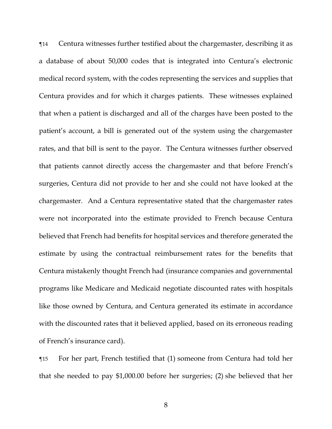¶14 Centura witnesses further testified about the chargemaster, describing it as a database of about 50,000 codes that is integrated into Centura's electronic medical record system, with the codes representing the services and supplies that Centura provides and for which it charges patients. These witnesses explained that when a patient is discharged and all of the charges have been posted to the patient's account, a bill is generated out of the system using the chargemaster rates, and that bill is sent to the payor. The Centura witnesses further observed that patients cannot directly access the chargemaster and that before French's surgeries, Centura did not provide to her and she could not have looked at the chargemaster. And a Centura representative stated that the chargemaster rates were not incorporated into the estimate provided to French because Centura believed that French had benefits for hospital services and therefore generated the estimate by using the contractual reimbursement rates for the benefits that Centura mistakenly thought French had (insurance companies and governmental programs like Medicare and Medicaid negotiate discounted rates with hospitals like those owned by Centura, and Centura generated its estimate in accordance with the discounted rates that it believed applied, based on its erroneous reading of French's insurance card).

¶15 For her part, French testified that (1) someone from Centura had told her that she needed to pay \$1,000.00 before her surgeries; (2) she believed that her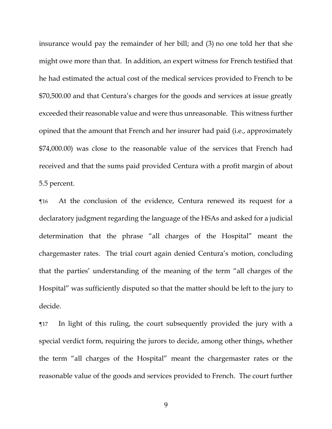insurance would pay the remainder of her bill; and (3) no one told her that she might owe more than that. In addition, an expert witness for French testified that he had estimated the actual cost of the medical services provided to French to be \$70,500.00 and that Centura's charges for the goods and services at issue greatly exceeded their reasonable value and were thus unreasonable. This witness further opined that the amount that French and her insurer had paid (i.e., approximately \$74,000.00) was close to the reasonable value of the services that French had received and that the sums paid provided Centura with a profit margin of about 5.5 percent.

¶16 At the conclusion of the evidence, Centura renewed its request for a declaratory judgment regarding the language of the HSAs and asked for a judicial determination that the phrase "all charges of the Hospital" meant the chargemaster rates. The trial court again denied Centura's motion, concluding that the parties' understanding of the meaning of the term "all charges of the Hospital" was sufficiently disputed so that the matter should be left to the jury to decide.

¶17 In light of this ruling, the court subsequently provided the jury with a special verdict form, requiring the jurors to decide, among other things, whether the term "all charges of the Hospital" meant the chargemaster rates or the reasonable value of the goods and services provided to French. The court further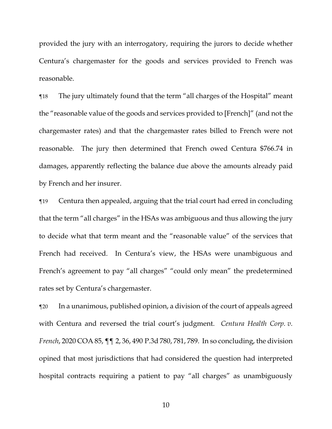provided the jury with an interrogatory, requiring the jurors to decide whether Centura's chargemaster for the goods and services provided to French was reasonable.

¶18 The jury ultimately found that the term "all charges of the Hospital" meant the "reasonable value of the goods and services provided to [French]" (and not the chargemaster rates) and that the chargemaster rates billed to French were not reasonable. The jury then determined that French owed Centura \$766.74 in damages, apparently reflecting the balance due above the amounts already paid by French and her insurer.

¶19 Centura then appealed, arguing that the trial court had erred in concluding that the term "all charges" in the HSAs was ambiguous and thus allowing the jury to decide what that term meant and the "reasonable value" of the services that French had received. In Centura's view, the HSAs were unambiguous and French's agreement to pay "all charges" "could only mean" the predetermined rates set by Centura's chargemaster.

¶20 In a unanimous, published opinion, a division of the court of appeals agreed with Centura and reversed the trial court's judgment. *Centura Health Corp. v. French*, 2020 COA 85, ¶¶ 2, 36, 490 P.3d 780, 781, 789. In so concluding, the division opined that most jurisdictions that had considered the question had interpreted hospital contracts requiring a patient to pay "all charges" as unambiguously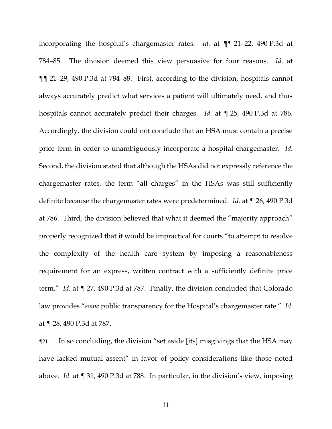incorporating the hospital's chargemaster rates. *Id.* at ¶¶ 21–22, 490 P.3d at 784–85. The division deemed this view persuasive for four reasons. *Id*. at ¶¶ 21–29, 490 P.3d at 784–88. First, according to the division, hospitals cannot always accurately predict what services a patient will ultimately need, and thus hospitals cannot accurately predict their charges. *Id*. at ¶ 25, 490 P.3d at 786. Accordingly, the division could not conclude that an HSA must contain a precise price term in order to unambiguously incorporate a hospital chargemaster. *Id.*  Second, the division stated that although the HSAs did not expressly reference the chargemaster rates, the term "all charges" in the HSAs was still sufficiently definite because the chargemaster rates were predetermined. *Id*. at ¶ 26, 490 P.3d at 786. Third, the division believed that what it deemed the "majority approach" properly recognized that it would be impractical for courts "to attempt to resolve the complexity of the health care system by imposing a reasonableness requirement for an express, written contract with a sufficiently definite price term." *Id*. at ¶ 27, 490 P.3d at 787. Finally, the division concluded that Colorado law provides "*some* public transparency for the Hospital's chargemaster rate." *Id*. at ¶ 28, 490 P.3d at 787.

¶21 In so concluding, the division "set aside [its] misgivings that the HSA may have lacked mutual assent" in favor of policy considerations like those noted above. *Id*. at ¶ 31, 490 P.3d at 788. In particular, in the division's view, imposing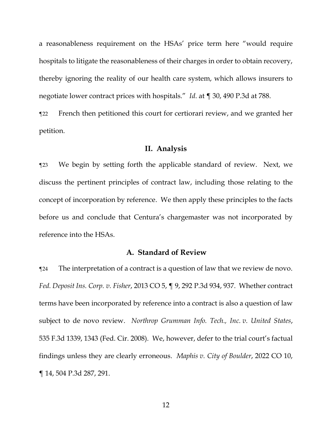a reasonableness requirement on the HSAs' price term here "would require hospitals to litigate the reasonableness of their charges in order to obtain recovery, thereby ignoring the reality of our health care system, which allows insurers to negotiate lower contract prices with hospitals." *Id*. at ¶ 30, 490 P.3d at 788.

¶22 French then petitioned this court for certiorari review, and we granted her petition.

### **II. Analysis**

¶23 We begin by setting forth the applicable standard of review. Next, we discuss the pertinent principles of contract law, including those relating to the concept of incorporation by reference. We then apply these principles to the facts before us and conclude that Centura's chargemaster was not incorporated by reference into the HSAs.

### **A. Standard of Review**

¶24 The interpretation of a contract is a question of law that we review de novo. *Fed. Deposit Ins. Corp. v. Fisher*, 2013 CO 5, ¶ 9, 292 P.3d 934, 937. Whether contract terms have been incorporated by reference into a contract is also a question of law subject to de novo review. *Northrop Grumman Info. Tech., Inc. v. United States*, 535 F.3d 1339, 1343 (Fed. Cir. 2008). We, however, defer to the trial court's factual findings unless they are clearly erroneous. *Maphis v. City of Boulder*, 2022 CO 10, ¶ 14, 504 P.3d 287, 291.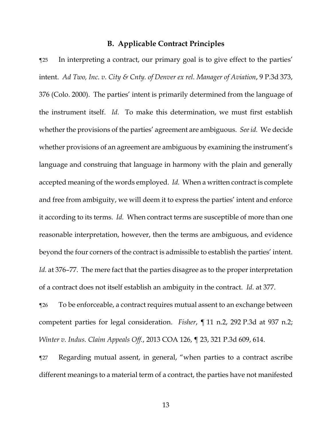### **B. Applicable Contract Principles**

¶25 In interpreting a contract, our primary goal is to give effect to the parties' intent. *Ad Two, Inc. v. City & Cnty. of Denver ex rel. Manager of Aviation*, 9 P.3d 373, 376 (Colo. 2000). The parties' intent is primarily determined from the language of the instrument itself. *Id.* To make this determination, we must first establish whether the provisions of the parties' agreement are ambiguous. *See id.* We decide whether provisions of an agreement are ambiguous by examining the instrument's language and construing that language in harmony with the plain and generally accepted meaning of the words employed. *Id.* When a written contract is complete and free from ambiguity, we will deem it to express the parties' intent and enforce it according to its terms. *Id.* When contract terms are susceptible of more than one reasonable interpretation, however, then the terms are ambiguous, and evidence beyond the four corners of the contract is admissible to establish the parties' intent. *Id.* at 376–77. The mere fact that the parties disagree as to the proper interpretation of a contract does not itself establish an ambiguity in the contract. *Id.* at 377.

¶26 To be enforceable, a contract requires mutual assent to an exchange between competent parties for legal consideration. *Fisher*, ¶ 11 n.2, 292 P.3d at 937 n.2; *Winter v. Indus. Claim Appeals Off.*, 2013 COA 126, ¶ 23, 321 P.3d 609, 614.

¶27 Regarding mutual assent, in general, "when parties to a contract ascribe different meanings to a material term of a contract, the parties have not manifested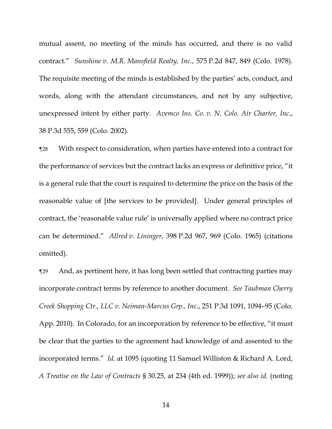mutual assent, no meeting of the minds has occurred, and there is no valid contract." *Sunshine v. M.R. Mansfield Realty, Inc.*, 575 P.2d 847, 849 (Colo. 1978). The requisite meeting of the minds is established by the parties' acts, conduct, and words, along with the attendant circumstances, and not by any subjective, unexpressed intent by either party. *Avemco Ins. Co. v. N. Colo. Air Charter, Inc*., 38 P.3d 555, 559 (Colo. 2002).

¶28 With respect to consideration, when parties have entered into a contract for the performance of services but the contract lacks an express or definitive price, "it is a general rule that the court is required to determine the price on the basis of the reasonable value of [the services to be provided]. Under general principles of contract, the 'reasonable value rule' is universally applied where no contract price can be determined." *Allred v. Lininger*, 398 P.2d 967, 969 (Colo. 1965) (citations omitted).

¶29 And, as pertinent here, it has long been settled that contracting parties may incorporate contract terms by reference to another document. *See Taubman Cherry Creek Shopping Ctr., LLC v. Neiman-Marcus Grp., Inc.*, 251 P.3d 1091, 1094–95 (Colo. App. 2010). In Colorado, for an incorporation by reference to be effective, "it must be clear that the parties to the agreement had knowledge of and assented to the incorporated terms." *Id.* at 1095 (quoting 11 Samuel Williston & Richard A. Lord, *A Treatise on the Law of Contracts* § 30.25, at 234 (4th ed. 1999)); *see also id.* (noting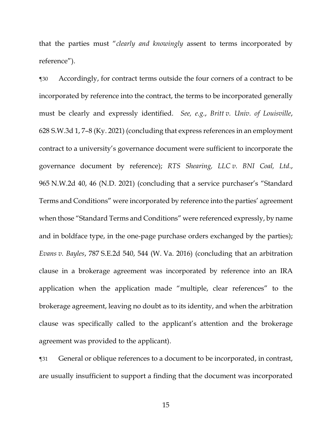that the parties must "*clearly and knowingly* assent to terms incorporated by reference").

¶30 Accordingly, for contract terms outside the four corners of a contract to be incorporated by reference into the contract, the terms to be incorporated generally must be clearly and expressly identified. *See, e.g.*, *Britt v. Univ. of Louisville*, 628 S.W.3d 1, 7–8 (Ky. 2021) (concluding that express references in an employment contract to a university's governance document were sufficient to incorporate the governance document by reference); *RTS Shearing, LLC v. BNI Coal, Ltd*., 965 N.W.2d 40, 46 (N.D. 2021) (concluding that a service purchaser's "Standard Terms and Conditions" were incorporated by reference into the parties' agreement when those "Standard Terms and Conditions" were referenced expressly, by name and in boldface type, in the one-page purchase orders exchanged by the parties); *Evans v. Bayles*, 787 S.E.2d 540, 544 (W. Va. 2016) (concluding that an arbitration clause in a brokerage agreement was incorporated by reference into an IRA application when the application made "multiple, clear references" to the brokerage agreement, leaving no doubt as to its identity, and when the arbitration clause was specifically called to the applicant's attention and the brokerage agreement was provided to the applicant).

¶31 General or oblique references to a document to be incorporated, in contrast, are usually insufficient to support a finding that the document was incorporated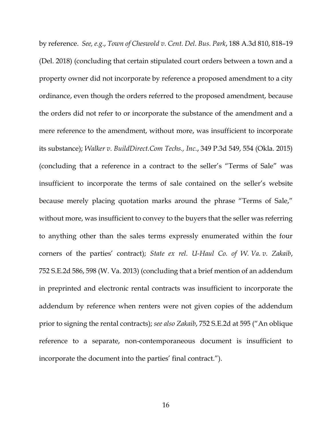by reference. *See, e.g.*, *Town of Cheswold v. Cent. Del. Bus. Park*, 188 A.3d 810, 818–19 (Del. 2018) (concluding that certain stipulated court orders between a town and a property owner did not incorporate by reference a proposed amendment to a city ordinance, even though the orders referred to the proposed amendment, because the orders did not refer to or incorporate the substance of the amendment and a mere reference to the amendment, without more, was insufficient to incorporate its substance); *Walker v. BuildDirect.Com Techs., Inc.*, 349 P.3d 549, 554 (Okla. 2015) (concluding that a reference in a contract to the seller's "Terms of Sale" was insufficient to incorporate the terms of sale contained on the seller's website because merely placing quotation marks around the phrase "Terms of Sale," without more, was insufficient to convey to the buyers that the seller was referring to anything other than the sales terms expressly enumerated within the four corners of the parties' contract); *State ex rel. U-Haul Co. of W. Va. v. Zakaib*, 752 S.E.2d 586, 598 (W. Va. 2013) (concluding that a brief mention of an addendum in preprinted and electronic rental contracts was insufficient to incorporate the addendum by reference when renters were not given copies of the addendum prior to signing the rental contracts); *see also Zakaib*, 752 S.E.2d at 595 ("An oblique reference to a separate, non-contemporaneous document is insufficient to incorporate the document into the parties' final contract.").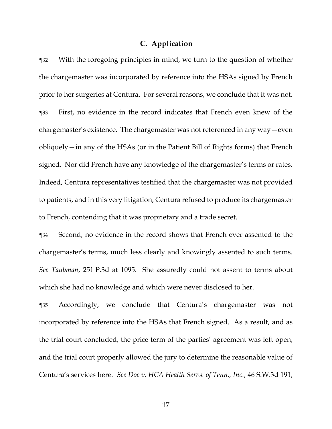### **C. Application**

¶32 With the foregoing principles in mind, we turn to the question of whether the chargemaster was incorporated by reference into the HSAs signed by French prior to her surgeries at Centura. For several reasons, we conclude that it was not. ¶33 First, no evidence in the record indicates that French even knew of the chargemaster's existence. The chargemaster was not referenced in any way—even obliquely—in any of the HSAs (or in the Patient Bill of Rights forms) that French signed. Nor did French have any knowledge of the chargemaster's terms or rates. Indeed, Centura representatives testified that the chargemaster was not provided to patients, and in this very litigation, Centura refused to produce its chargemaster to French, contending that it was proprietary and a trade secret.

¶34 Second, no evidence in the record shows that French ever assented to the chargemaster's terms, much less clearly and knowingly assented to such terms. *See Taubman*, 251 P.3d at 1095. She assuredly could not assent to terms about which she had no knowledge and which were never disclosed to her.

¶35 Accordingly, we conclude that Centura's chargemaster was not incorporated by reference into the HSAs that French signed. As a result, and as the trial court concluded, the price term of the parties' agreement was left open, and the trial court properly allowed the jury to determine the reasonable value of Centura's services here. *See Doe v. HCA Health Servs. of Tenn., Inc.*, 46 S.W.3d 191,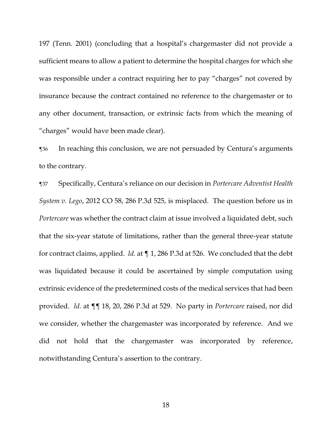197 (Tenn. 2001) (concluding that a hospital's chargemaster did not provide a sufficient means to allow a patient to determine the hospital charges for which she was responsible under a contract requiring her to pay "charges" not covered by insurance because the contract contained no reference to the chargemaster or to any other document, transaction, or extrinsic facts from which the meaning of "charges" would have been made clear).

¶36 In reaching this conclusion, we are not persuaded by Centura's arguments to the contrary.

¶37 Specifically, Centura's reliance on our decision in *Portercare Adventist Health System v. Lego*, 2012 CO 58, 286 P.3d 525, is misplaced. The question before us in *Portercare* was whether the contract claim at issue involved a liquidated debt, such that the six-year statute of limitations, rather than the general three-year statute for contract claims, applied. *Id.* at ¶ 1, 286 P.3d at 526. We concluded that the debt was liquidated because it could be ascertained by simple computation using extrinsic evidence of the predetermined costs of the medical services that had been provided. *Id.* at ¶¶ 18, 20, 286 P.3d at 529. No party in *Portercare* raised, nor did we consider, whether the chargemaster was incorporated by reference. And we did not hold that the chargemaster was incorporated by reference, notwithstanding Centura's assertion to the contrary.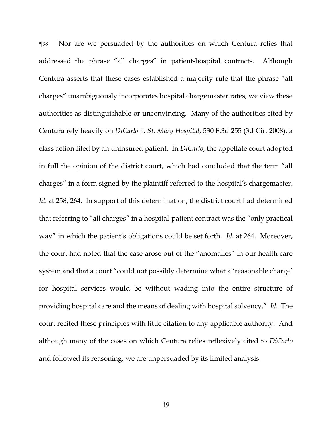¶38 Nor are we persuaded by the authorities on which Centura relies that addressed the phrase "all charges" in patient-hospital contracts. Although Centura asserts that these cases established a majority rule that the phrase "all charges" unambiguously incorporates hospital chargemaster rates, we view these authorities as distinguishable or unconvincing. Many of the authorities cited by Centura rely heavily on *DiCarlo v. St. Mary Hospital*, 530 F.3d 255 (3d Cir. 2008), a class action filed by an uninsured patient. In *DiCarlo*, the appellate court adopted in full the opinion of the district court, which had concluded that the term "all charges" in a form signed by the plaintiff referred to the hospital's chargemaster. *Id.* at 258, 264. In support of this determination, the district court had determined that referring to "all charges" in a hospital-patient contract was the "only practical way" in which the patient's obligations could be set forth. *Id*. at 264. Moreover, the court had noted that the case arose out of the "anomalies" in our health care system and that a court "could not possibly determine what a 'reasonable charge' for hospital services would be without wading into the entire structure of providing hospital care and the means of dealing with hospital solvency." *Id*. The court recited these principles with little citation to any applicable authority. And although many of the cases on which Centura relies reflexively cited to *DiCarlo* and followed its reasoning, we are unpersuaded by its limited analysis.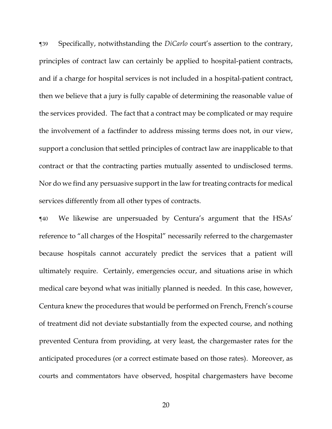¶39 Specifically, notwithstanding the *DiCarlo* court's assertion to the contrary, principles of contract law can certainly be applied to hospital-patient contracts, and if a charge for hospital services is not included in a hospital-patient contract, then we believe that a jury is fully capable of determining the reasonable value of the services provided. The fact that a contract may be complicated or may require the involvement of a factfinder to address missing terms does not, in our view, support a conclusion that settled principles of contract law are inapplicable to that contract or that the contracting parties mutually assented to undisclosed terms. Nor do we find any persuasive support in the law for treating contracts for medical services differently from all other types of contracts.

¶40 We likewise are unpersuaded by Centura's argument that the HSAs' reference to "all charges of the Hospital" necessarily referred to the chargemaster because hospitals cannot accurately predict the services that a patient will ultimately require. Certainly, emergencies occur, and situations arise in which medical care beyond what was initially planned is needed. In this case, however, Centura knew the procedures that would be performed on French, French's course of treatment did not deviate substantially from the expected course, and nothing prevented Centura from providing, at very least, the chargemaster rates for the anticipated procedures (or a correct estimate based on those rates). Moreover, as courts and commentators have observed, hospital chargemasters have become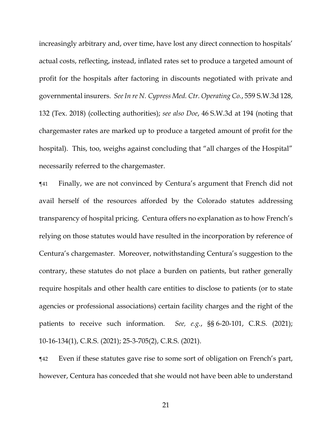increasingly arbitrary and, over time, have lost any direct connection to hospitals' actual costs, reflecting, instead, inflated rates set to produce a targeted amount of profit for the hospitals after factoring in discounts negotiated with private and governmental insurers. *See In re N. Cypress Med. Ctr. Operating Co.*, 559 S.W.3d 128, 132 (Tex. 2018) (collecting authorities); *see also Doe*, 46 S.W.3d at 194 (noting that chargemaster rates are marked up to produce a targeted amount of profit for the hospital). This, too, weighs against concluding that "all charges of the Hospital" necessarily referred to the chargemaster.

¶41 Finally, we are not convinced by Centura's argument that French did not avail herself of the resources afforded by the Colorado statutes addressing transparency of hospital pricing. Centura offers no explanation as to how French's relying on those statutes would have resulted in the incorporation by reference of Centura's chargemaster. Moreover, notwithstanding Centura's suggestion to the contrary, these statutes do not place a burden on patients, but rather generally require hospitals and other health care entities to disclose to patients (or to state agencies or professional associations) certain facility charges and the right of the patients to receive such information. *See, e.g.*, §§ 6-20-101, C.R.S. (2021); 10-16-134(1), C.R.S. (2021); 25-3-705(2), C.R.S. (2021).

¶42 Even if these statutes gave rise to some sort of obligation on French's part, however, Centura has conceded that she would not have been able to understand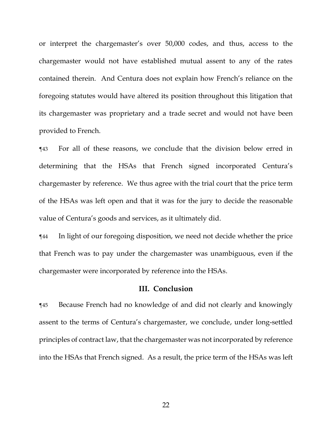or interpret the chargemaster's over 50,000 codes, and thus, access to the chargemaster would not have established mutual assent to any of the rates contained therein. And Centura does not explain how French's reliance on the foregoing statutes would have altered its position throughout this litigation that its chargemaster was proprietary and a trade secret and would not have been provided to French.

¶43 For all of these reasons, we conclude that the division below erred in determining that the HSAs that French signed incorporated Centura's chargemaster by reference. We thus agree with the trial court that the price term of the HSAs was left open and that it was for the jury to decide the reasonable value of Centura's goods and services, as it ultimately did.

¶44 In light of our foregoing disposition, we need not decide whether the price that French was to pay under the chargemaster was unambiguous, even if the chargemaster were incorporated by reference into the HSAs.

#### **III. Conclusion**

¶45 Because French had no knowledge of and did not clearly and knowingly assent to the terms of Centura's chargemaster, we conclude, under long-settled principles of contract law, that the chargemaster was not incorporated by reference into the HSAs that French signed. As a result, the price term of the HSAs was left